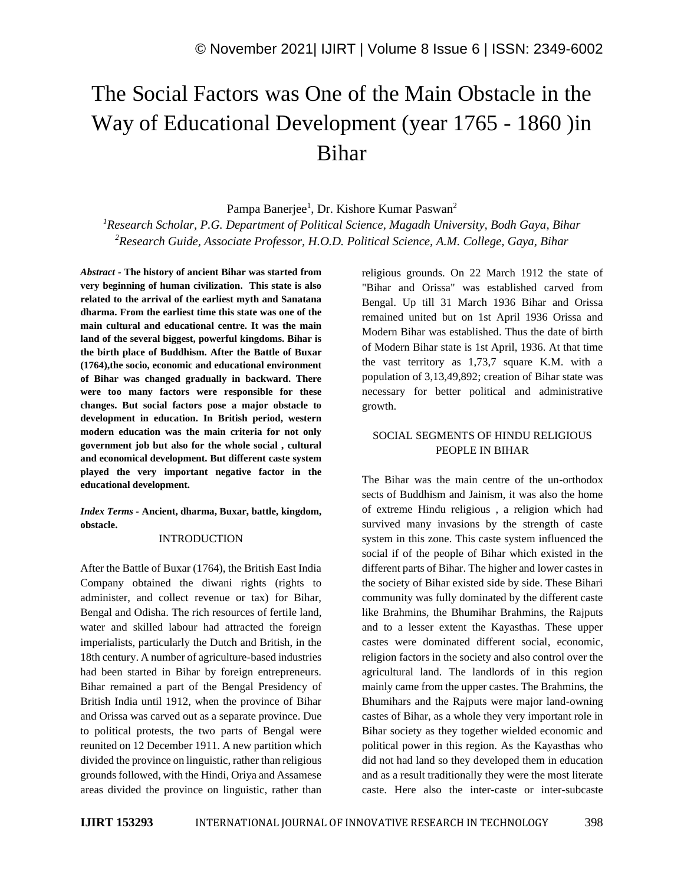# The Social Factors was One of the Main Obstacle in the Way of Educational Development (year 1765 - 1860 )in Bihar

Pampa Banerjee<sup>1</sup>, Dr. Kishore Kumar Paswan<sup>2</sup>

*<sup>1</sup>Research Scholar, P.G. Department of Political Science, Magadh University, Bodh Gaya, Bihar <sup>2</sup>Research Guide, Associate Professor, H.O.D. Political Science, A.M. College, Gaya, Bihar*

*Abstract -* **The history of ancient Bihar was started from very beginning of human civilization. This state is also related to the arrival of the earliest myth and Sanatana dharma. From the earliest time this state was one of the main cultural and educational centre. It was the main land of the several biggest, powerful kingdoms. Bihar is the birth place of Buddhism. After the Battle of Buxar (1764),the socio, economic and educational environment of Bihar was changed gradually in backward. There were too many factors were responsible for these changes. But social factors pose a major obstacle to development in education. In British period, western modern education was the main criteria for not only government job but also for the whole social , cultural and economical development. But different caste system played the very important negative factor in the educational development.**

*Index Terms -* **Ancient, dharma, Buxar, battle, kingdom, obstacle.**

## INTRODUCTION

After the Battle of Buxar (1764), the British East India Company obtained the diwani rights (rights to administer, and collect revenue or tax) for Bihar, Bengal and Odisha. The rich resources of fertile land, water and skilled labour had attracted the foreign imperialists, particularly the Dutch and British, in the 18th century. A number of agriculture-based industries had been started in Bihar by foreign entrepreneurs. Bihar remained a part of the Bengal Presidency of British India until 1912, when the province of Bihar and Orissa was carved out as a separate province. Due to political protests, the two parts of Bengal were reunited on 12 December 1911. A new partition which divided the province on linguistic, rather than religious grounds followed, with the Hindi, Oriya and Assamese areas divided the province on linguistic, rather than religious grounds. On 22 March 1912 the state of "Bihar and Orissa" was established carved from Bengal. Up till 31 March 1936 Bihar and Orissa remained united but on 1st April 1936 Orissa and Modern Bihar was established. Thus the date of birth of Modern Bihar state is 1st April, 1936. At that time the vast territory as 1,73,7 square K.M. with a population of 3,13,49,892; creation of Bihar state was necessary for better political and administrative growth.

## SOCIAL SEGMENTS OF HINDU RELIGIOUS PEOPLE IN BIHAR

The Bihar was the main centre of the un-orthodox sects of Buddhism and Jainism, it was also the home of extreme Hindu religious , a religion which had survived many invasions by the strength of caste system in this zone. This caste system influenced the social if of the people of Bihar which existed in the different parts of Bihar. The higher and lower castes in the society of Bihar existed side by side. These Bihari community was fully dominated by the different caste like Brahmins, the Bhumihar Brahmins, the Rajputs and to a lesser extent the Kayasthas. These upper castes were dominated different social, economic, religion factors in the society and also control over the agricultural land. The landlords of in this region mainly came from the upper castes. The Brahmins, the Bhumihars and the Rajputs were major land-owning castes of Bihar, as a whole they very important role in Bihar society as they together wielded economic and political power in this region. As the Kayasthas who did not had land so they developed them in education and as a result traditionally they were the most literate caste. Here also the inter-caste or inter-subcaste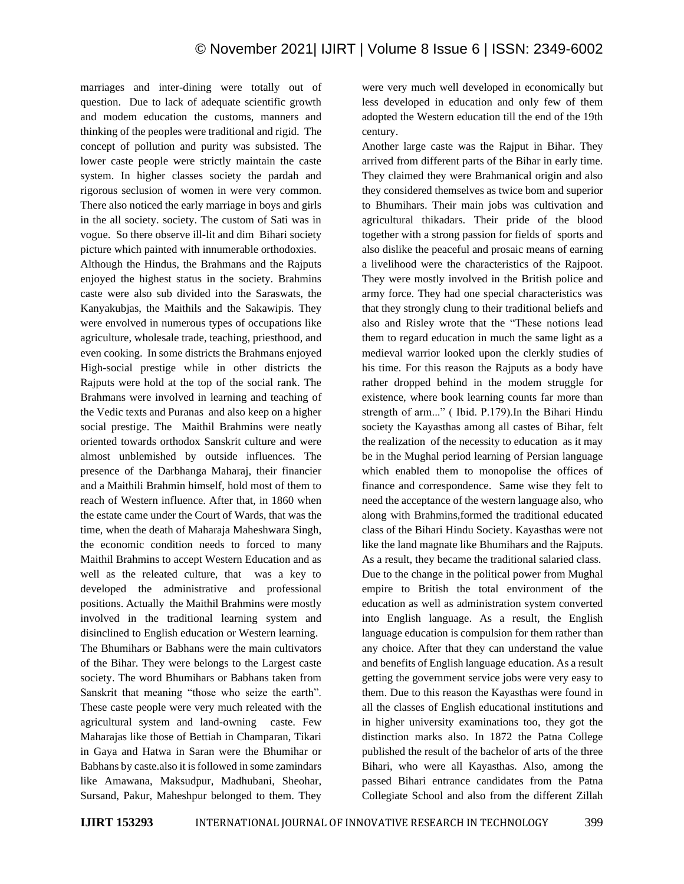marriages and inter-dining were totally out of question. Due to lack of adequate scientific growth and modem education the customs, manners and thinking of the peoples were traditional and rigid. The concept of pollution and purity was subsisted. The lower caste people were strictly maintain the caste system. In higher classes society the pardah and rigorous seclusion of women in were very common. There also noticed the early marriage in boys and girls in the all society. society. The custom of Sati was in vogue. So there observe ill-lit and dim Bihari society picture which painted with innumerable orthodoxies.

Although the Hindus, the Brahmans and the Rajputs enjoyed the highest status in the society. Brahmins caste were also sub divided into the Saraswats, the Kanyakubjas, the Maithils and the Sakawipis. They were envolved in numerous types of occupations like agriculture, wholesale trade, teaching, priesthood, and even cooking. In some districts the Brahmans enjoyed High-social prestige while in other districts the Rajputs were hold at the top of the social rank. The Brahmans were involved in learning and teaching of the Vedic texts and Puranas and also keep on a higher social prestige. The Maithil Brahmins were neatly oriented towards orthodox Sanskrit culture and were almost unblemished by outside influences. The presence of the Darbhanga Maharaj, their financier and a Maithili Brahmin himself, hold most of them to reach of Western influence. After that, in 1860 when the estate came under the Court of Wards, that was the time, when the death of Maharaja Maheshwara Singh, the economic condition needs to forced to many Maithil Brahmins to accept Western Education and as well as the releated culture, that was a key to developed the administrative and professional positions. Actually the Maithil Brahmins were mostly involved in the traditional learning system and disinclined to English education or Western learning. The Bhumihars or Babhans were the main cultivators of the Bihar. They were belongs to the Largest caste society. The word Bhumihars or Babhans taken from Sanskrit that meaning "those who seize the earth". These caste people were very much releated with the agricultural system and land-owning caste. Few Maharajas like those of Bettiah in Champaran, Tikari in Gaya and Hatwa in Saran were the Bhumihar or Babhans by caste.also it is followed in some zamindars like Amawana, Maksudpur, Madhubani, Sheohar, Sursand, Pakur, Maheshpur belonged to them. They were very much well developed in economically but less developed in education and only few of them adopted the Western education till the end of the 19th century.

Another large caste was the Rajput in Bihar. They arrived from different parts of the Bihar in early time. They claimed they were Brahmanical origin and also they considered themselves as twice bom and superior to Bhumihars. Their main jobs was cultivation and agricultural thikadars. Their pride of the blood together with a strong passion for fields of sports and also dislike the peaceful and prosaic means of earning a livelihood were the characteristics of the Rajpoot. They were mostly involved in the British police and army force. They had one special characteristics was that they strongly clung to their traditional beliefs and also and Risley wrote that the "These notions lead them to regard education in much the same light as a medieval warrior looked upon the clerkly studies of his time. For this reason the Rajputs as a body have rather dropped behind in the modem struggle for existence, where book learning counts far more than strength of arm..." ( Ibid. P.179).In the Bihari Hindu society the Kayasthas among all castes of Bihar, felt the realization of the necessity to education as it may be in the Mughal period learning of Persian language which enabled them to monopolise the offices of finance and correspondence. Same wise they felt to need the acceptance of the western language also, who along with Brahmins,formed the traditional educated class of the Bihari Hindu Society. Kayasthas were not like the land magnate like Bhumihars and the Rajputs. As a result, they became the traditional salaried class. Due to the change in the political power from Mughal empire to British the total environment of the education as well as administration system converted into English language. As a result, the English language education is compulsion for them rather than any choice. After that they can understand the value and benefits of English language education. As a result getting the government service jobs were very easy to them. Due to this reason the Kayasthas were found in all the classes of English educational institutions and in higher university examinations too, they got the distinction marks also. In 1872 the Patna College published the result of the bachelor of arts of the three Bihari, who were all Kayasthas. Also, among the passed Bihari entrance candidates from the Patna Collegiate School and also from the different Zillah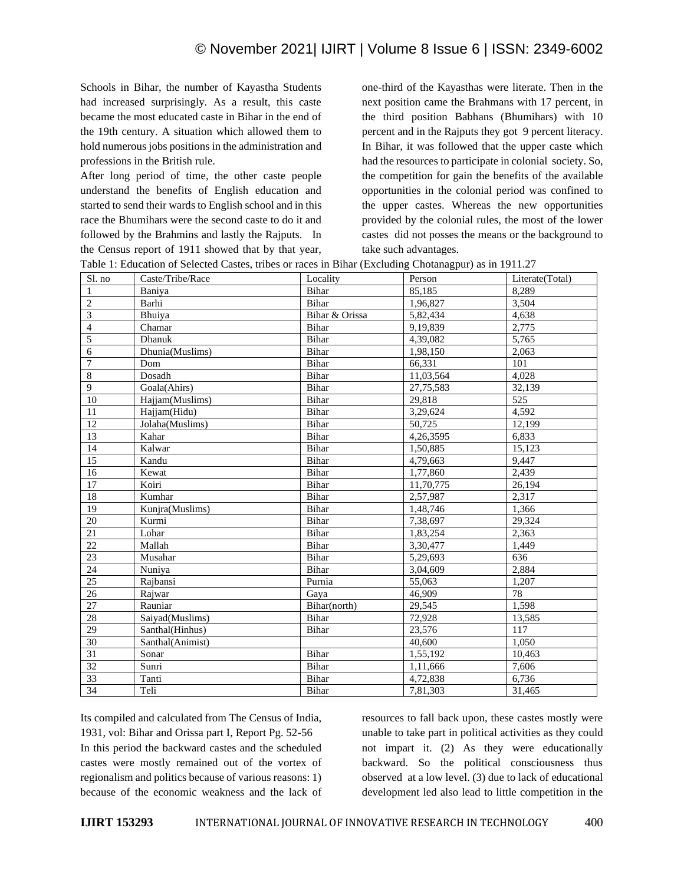Schools in Bihar, the number of Kayastha Students had increased surprisingly. As a result, this caste became the most educated caste in Bihar in the end of the 19th century. A situation which allowed them to hold numerous jobs positions in the administration and professions in the British rule.

After long period of time, the other caste people understand the benefits of English education and started to send their wards to English school and in this race the Bhumihars were the second caste to do it and followed by the Brahmins and lastly the Rajputs. In the Census report of 1911 showed that by that year, one-third of the Kayasthas were literate. Then in the next position came the Brahmans with 17 percent, in the third position Babhans (Bhumihars) with 10 percent and in the Rajputs they got 9 percent literacy. In Bihar, it was followed that the upper caste which had the resources to participate in colonial society. So, the competition for gain the benefits of the available opportunities in the colonial period was confined to the upper castes. Whereas the new opportunities provided by the colonial rules, the most of the lower castes did not posses the means or the background to take such advantages.

| Sl. no                  | Caste/Tribe/Race | Locality       | Person    | Literate(Total) |
|-------------------------|------------------|----------------|-----------|-----------------|
| $\mathbf{1}$            | Baniya           | Bihar          | 85.185    | 8.289           |
| $\overline{2}$          | Barhi            | Bihar          | 1,96,827  | 3,504           |
| $\overline{\mathbf{3}}$ | Bhuiya           | Bihar & Orissa | 5,82,434  | 4,638           |
| $\overline{4}$          | Chamar           | Bihar          | 9,19,839  | 2,775           |
| 5                       | Dhanuk           | Bihar          | 4,39,082  | 5,765           |
| $\sqrt{6}$              | Dhunia(Muslims)  | Bihar          | 1,98,150  | 2,063           |
| $\boldsymbol{7}$        | Dom              | Bihar          | 66,331    | 101             |
| $\overline{8}$          | Dosadh           | Bihar          | 11.03.564 | 4.028           |
| $\boldsymbol{9}$        | Goala(Ahirs)     | Bihar          | 27,75,583 | 32,139          |
| 10                      | Hajjam(Muslims)  | Bihar          | 29,818    | 525             |
| 11                      | Hajjam(Hidu)     | Bihar          | 3,29,624  | 4,592           |
| 12                      | Jolaha(Muslims)  | Bihar          | 50,725    | 12,199          |
| $\overline{13}$         | Kahar            | Bihar          | 4,26,3595 | 6,833           |
| 14                      | Kalwar           | Bihar          | 1,50,885  | 15,123          |
| 15                      | Kandu            | Bihar          | 4,79,663  | 9,447           |
| 16                      | Kewat            | Bihar          | 1,77,860  | 2,439           |
| 17                      | Koiri            | <b>Bihar</b>   | 11,70,775 | 26,194          |
| 18                      | Kumhar           | Bihar          | 2,57,987  | 2,317           |
| 19                      | Kunjra(Muslims)  | Bihar          | 1,48,746  | 1,366           |
| 20                      | Kurmi            | Bihar          | 7,38,697  | 29,324          |
| 21                      | Lohar            | Bihar          | 1,83,254  | 2,363           |
| 22                      | Mallah           | Bihar          | 3,30,477  | 1,449           |
| 23                      | Musahar          | Bihar          | 5,29,693  | 636             |
| 24                      | Nuniya           | Bihar          | 3,04,609  | 2,884           |
| $\overline{25}$         | Rajbansi         | Purnia         | 55,063    | 1,207           |
| 26                      | Rajwar           | Gaya           | 46,909    | 78              |
| $27\,$                  | Rauniar          | Bihar(north)   | 29,545    | 1,598           |
| 28                      | Saiyad(Muslims)  | Bihar          | 72,928    | 13,585          |
| $\overline{29}$         | Santhal(Hinhus)  | Bihar          | 23,576    | 117             |
| 30                      | Santhal(Animist) |                | 40,600    | 1.050           |
| 31                      | Sonar            | Bihar          | 1,55,192  | 10,463          |
| 32                      | Sunri            | Bihar          | 1,11,666  | 7,606           |
| $\overline{33}$         | Tanti            | Bihar          | 4,72,838  | 6,736           |
| 34                      | Teli             | Bihar          | 7.81.303  | 31,465          |

| Table 1: Education of Selected Castes, tribes or races in Bihar (Excluding Chotanagpur) as in 1911.27 |  |  |  |
|-------------------------------------------------------------------------------------------------------|--|--|--|
|                                                                                                       |  |  |  |

Its compiled and calculated from The Census of India, 1931, vol: Bihar and Orissa part I, Report Pg. 52-56 In this period the backward castes and the scheduled castes were mostly remained out of the vortex of regionalism and politics because of various reasons: 1) because of the economic weakness and the lack of resources to fall back upon, these castes mostly were unable to take part in political activities as they could not impart it. (2) As they were educationally backward. So the political consciousness thus observed at a low level. (3) due to lack of educational development led also lead to little competition in the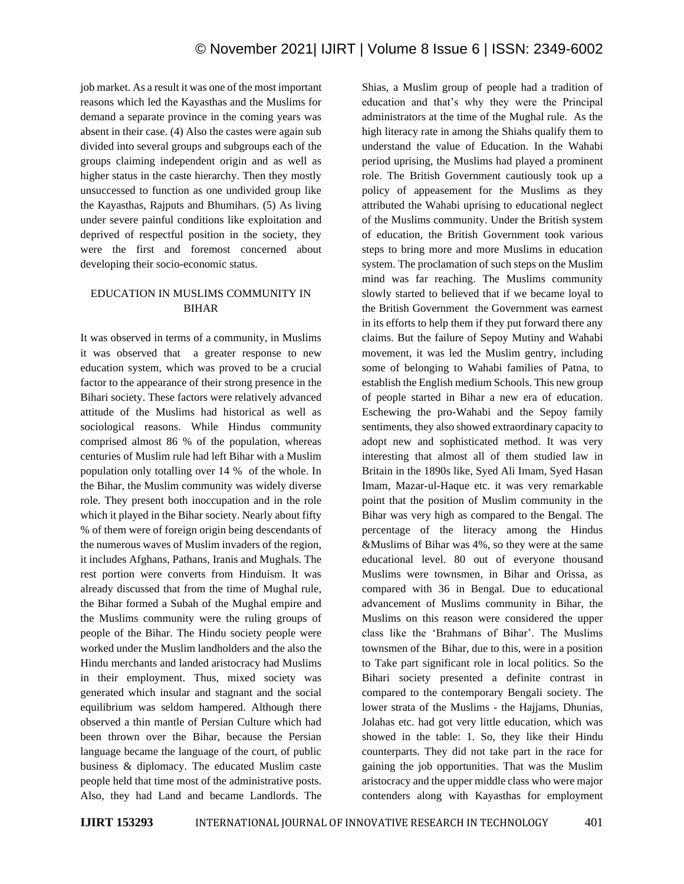job market. As a result it was one of the most important reasons which led the Kayasthas and the Muslims for demand a separate province in the coming years was absent in their case. (4) Also the castes were again sub divided into several groups and subgroups each of the groups claiming independent origin and as well as higher status in the caste hierarchy. Then they mostly unsuccessed to function as one undivided group like the Kayasthas, Rajputs and Bhumihars. (5) As living under severe painful conditions like exploitation and deprived of respectful position in the society, they were the first and foremost concerned about developing their socio-economic status.

## EDUCATION IN MUSLIMS COMMUNITY IN BIHAR

It was observed in terms of a community, in Muslims it was observed that a greater response to new education system, which was proved to be a crucial factor to the appearance of their strong presence in the Bihari society. These factors were relatively advanced attitude of the Muslims had historical as well as sociological reasons. While Hindus community comprised almost 86 % of the population, whereas centuries of Muslim rule had left Bihar with a Muslim population only totalling over 14 % of the whole. In the Bihar, the Muslim community was widely diverse role. They present both inoccupation and in the role which it played in the Bihar society. Nearly about fifty % of them were of foreign origin being descendants of the numerous waves of Muslim invaders of the region, it includes Afghans, Pathans, Iranis and Mughals. The rest portion were converts from Hinduism. It was already discussed that from the time of Mughal rule, the Bihar formed a Subah of the Mughal empire and the Muslims community were the ruling groups of people of the Bihar. The Hindu society people were worked under the Muslim landholders and the also the Hindu merchants and landed aristocracy had Muslims in their employment. Thus, mixed society was generated which insular and stagnant and the social equilibrium was seldom hampered. Although there observed a thin mantle of Persian Culture which had been thrown over the Bihar, because the Persian language became the language of the court, of public business & diplomacy. The educated Muslim caste people held that time most of the administrative posts. Also, they had Land and became Landlords. The Shias, a Muslim group of people had a tradition of education and that's why they were the Principal administrators at the time of the Mughal rule. As the high literacy rate in among the Shiahs qualify them to understand the value of Education. In the Wahabi period uprising, the Muslims had played a prominent role. The British Government cautiously took up a policy of appeasement for the Muslims as they attributed the Wahabi uprising to educational neglect of the Muslims community. Under the British system of education, the British Government took various steps to bring more and more Muslims in education system. The proclamation of such steps on the Muslim mind was far reaching. The Muslims community slowly started to believed that if we became loyal to the British Government the Government was earnest in its efforts to help them if they put forward there any claims. But the failure of Sepoy Mutiny and Wahabi movement, it was led the Muslim gentry, including some of belonging to Wahabi families of Patna, to establish the English medium Schools. This new group of people started in Bihar a new era of education. Eschewing the pro-Wahabi and the Sepoy family sentiments, they also showed extraordinary capacity to adopt new and sophisticated method. It was very interesting that almost all of them studied law in Britain in the 1890s like, Syed Ali Imam, Syed Hasan Imam, Mazar-ul-Haque etc. it was very remarkable point that the position of Muslim community in the Bihar was very high as compared to the Bengal. The percentage of the literacy among the Hindus &Muslims of Bihar was 4%, so they were at the same educational level. 80 out of everyone thousand Muslims were townsmen, in Bihar and Orissa, as compared with 36 in Bengal. Due to educational advancement of Muslims community in Bihar, the Muslims on this reason were considered the upper class like the 'Brahmans of Bihar'. The Muslims townsmen of the Bihar, due to this, were in a position to Take part significant role in local politics. So the Bihari society presented a definite contrast in compared to the contemporary Bengali society. The lower strata of the Muslims - the Hajjams, Dhunias, Jolahas etc. had got very little education, which was showed in the table: 1. So, they like their Hindu counterparts. They did not take part in the race for gaining the job opportunities. That was the Muslim aristocracy and the upper middle class who were major contenders along with Kayasthas for employment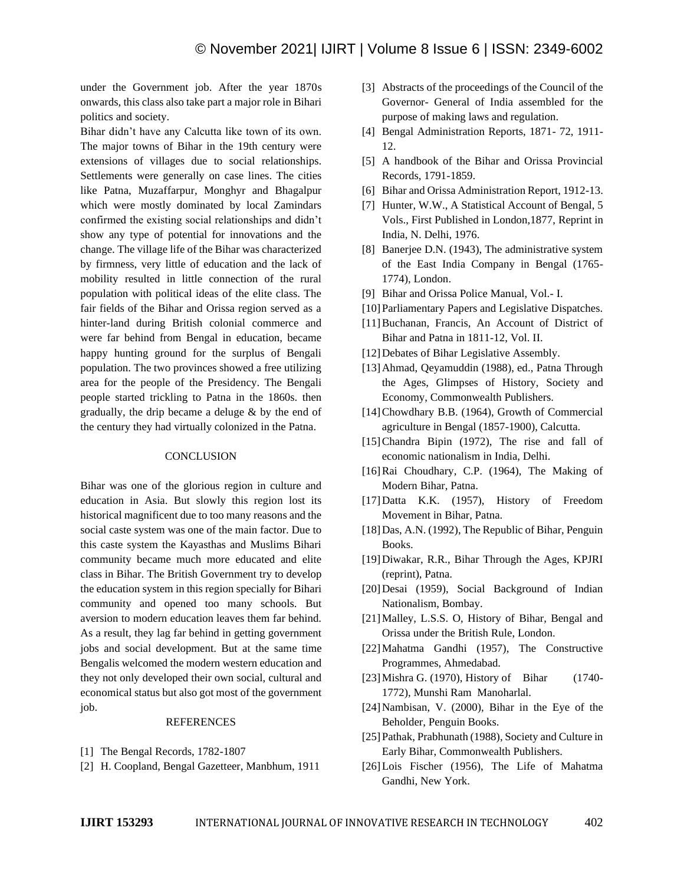under the Government job. After the year 1870s onwards, this class also take part a major role in Bihari politics and society.

Bihar didn't have any Calcutta like town of its own. The major towns of Bihar in the 19th century were extensions of villages due to social relationships. Settlements were generally on case lines. The cities like Patna, Muzaffarpur, Monghyr and Bhagalpur which were mostly dominated by local Zamindars confirmed the existing social relationships and didn't show any type of potential for innovations and the change. The village life of the Bihar was characterized by firmness, very little of education and the lack of mobility resulted in little connection of the rural population with political ideas of the elite class. The fair fields of the Bihar and Orissa region served as a hinter-land during British colonial commerce and were far behind from Bengal in education, became happy hunting ground for the surplus of Bengali population. The two provinces showed a free utilizing area for the people of the Presidency. The Bengali people started trickling to Patna in the 1860s. then gradually, the drip became a deluge & by the end of the century they had virtually colonized in the Patna.

#### **CONCLUSION**

Bihar was one of the glorious region in culture and education in Asia. But slowly this region lost its historical magnificent due to too many reasons and the social caste system was one of the main factor. Due to this caste system the Kayasthas and Muslims Bihari community became much more educated and elite class in Bihar. The British Government try to develop the education system in this region specially for Bihari community and opened too many schools. But aversion to modern education leaves them far behind. As a result, they lag far behind in getting government jobs and social development. But at the same time Bengalis welcomed the modern western education and they not only developed their own social, cultural and economical status but also got most of the government job.

### REFERENCES

- [1] The Bengal Records, 1782-1807
- [2] H. Coopland, Bengal Gazetteer, Manbhum, 1911
- [3] Abstracts of the proceedings of the Council of the Governor- General of India assembled for the purpose of making laws and regulation.
- [4] Bengal Administration Reports, 1871- 72, 1911- 12.
- [5] A handbook of the Bihar and Orissa Provincial Records, 1791-1859.
- [6] Bihar and Orissa Administration Report, 1912-13.
- [7] Hunter, W.W., A Statistical Account of Bengal, 5 Vols., First Published in London,1877, Reprint in India, N. Delhi, 1976.
- [8] Banerjee D.N. (1943), The administrative system of the East India Company in Bengal (1765- 1774), London.
- [9] Bihar and Orissa Police Manual, Vol.- I.
- [10] Parliamentary Papers and Legislative Dispatches.
- [11]Buchanan, Francis, An Account of District of Bihar and Patna in 1811-12, Vol. II.
- [12] Debates of Bihar Legislative Assembly.
- [13]Ahmad, Qeyamuddin (1988), ed., Patna Through the Ages, Glimpses of History, Society and Economy, Commonwealth Publishers.
- [14]Chowdhary B.B. (1964), Growth of Commercial agriculture in Bengal (1857-1900), Calcutta.
- [15]Chandra Bipin (1972), The rise and fall of economic nationalism in India, Delhi.
- [16]Rai Choudhary, C.P. (1964), The Making of Modern Bihar, Patna.
- [17]Datta K.K. (1957), History of Freedom Movement in Bihar, Patna.
- [18]Das, A.N. (1992), The Republic of Bihar, Penguin Books.
- [19]Diwakar, R.R., Bihar Through the Ages, KPJRI (reprint), Patna.
- [20]Desai (1959), Social Background of Indian Nationalism, Bombay.
- [21]Malley, L.S.S. O, History of Bihar, Bengal and Orissa under the British Rule, London.
- [22]Mahatma Gandhi (1957), The Constructive Programmes, Ahmedabad.
- [23] Mishra G. (1970), History of Bihar (1740-1772), Munshi Ram Manoharlal.
- [24] Nambisan, V. (2000), Bihar in the Eye of the Beholder, Penguin Books.
- [25] Pathak, Prabhunath (1988), Society and Culture in Early Bihar, Commonwealth Publishers.
- [26]Lois Fischer (1956), The Life of Mahatma Gandhi, New York.